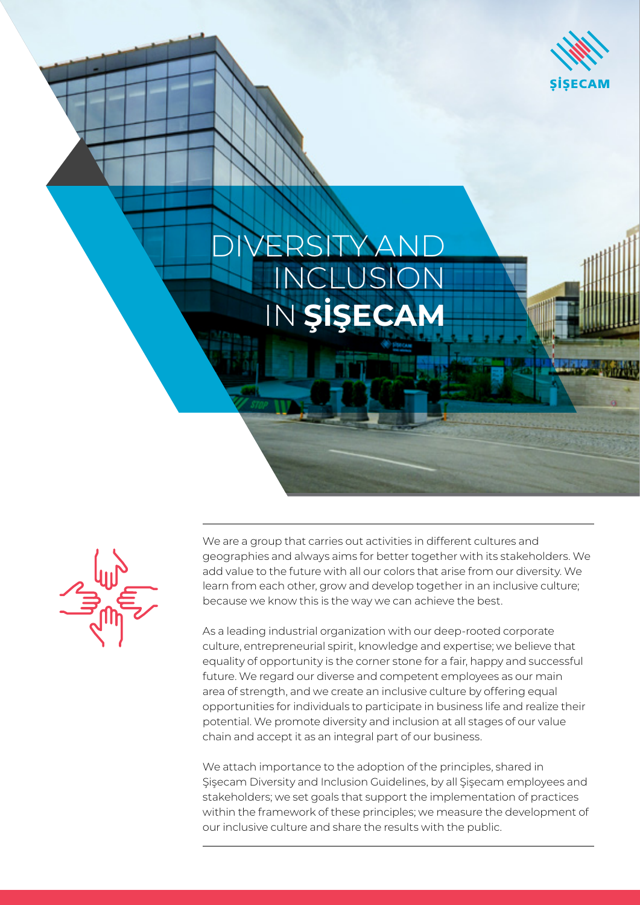

## **IVERSITY AND** INCLUSION IN **ŞİŞECAM**

We are a group that carries out activities in different cultures and geographies and always aims for better together with its stakeholders. We add value to the future with all our colors that arise from our diversity. We learn from each other, grow and develop together in an inclusive culture; because we know this is the way we can achieve the best.

As a leading industrial organization with our deep-rooted corporate culture, entrepreneurial spirit, knowledge and expertise; we believe that equality of opportunity is the corner stone for a fair, happy and successful future. We regard our diverse and competent employees as our main area of strength, and we create an inclusive culture by offering equal opportunities for individuals to participate in business life and realize their potential. We promote diversity and inclusion at all stages of our value chain and accept it as an integral part of our business.

We attach importance to the adoption of the principles, shared in Şişecam Diversity and Inclusion Guidelines, by all Şişecam employees and stakeholders; we set goals that support the implementation of practices within the framework of these principles; we measure the development of our inclusive culture and share the results with the public.